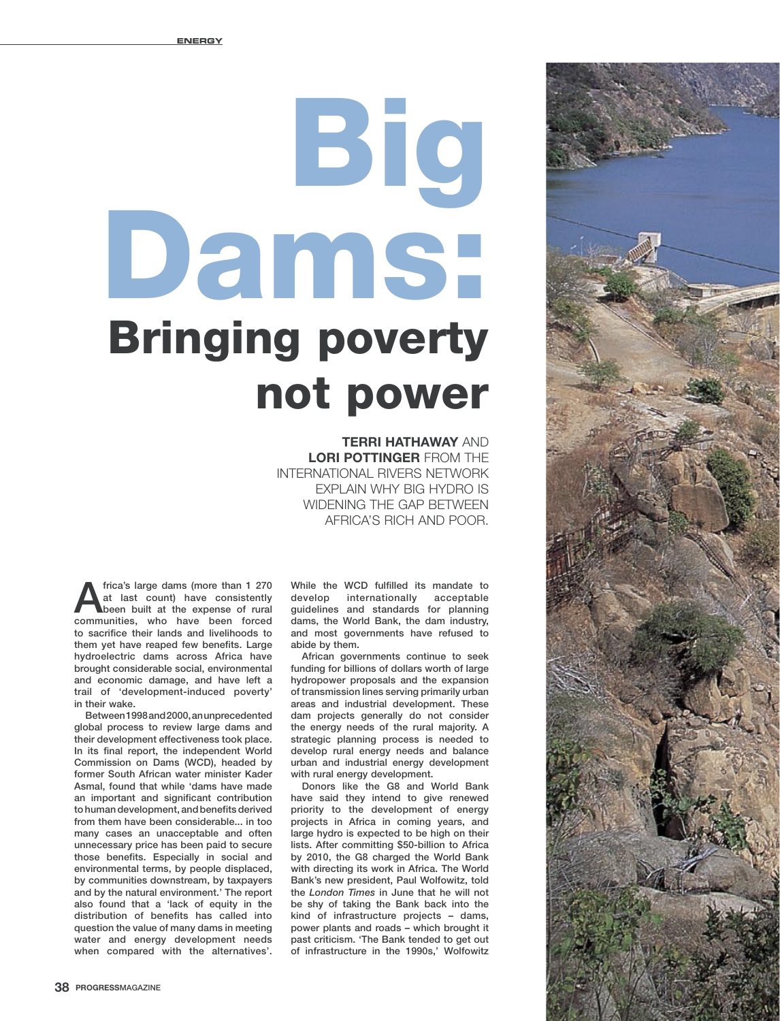# Dams: Bringing poverty not power Big

# TERRI HATHAWAY AND LORI POTTINGER FROM THE INTERNATIONAL RIVERS NETWORK EXPLAIN WHY BIG HYDRO IS WIDENING THE GAP BETWEEN AFRICA'S RICH AND POOR.

frica's large dams (more than 1 270<br>at last count) have consistently<br>been built at the expense of rural at last count) have consistently been built at the expense of rural communities, who have been forced to sacrifice their lands and livelihoods to them yet have reaped few benefits. Large hydroelectric dams across Africa have brought considerable social, environmental and economic damage, and have left a trail of 'development-induced poverty' in their wake.

Between 1998 and 2000, an unprecedented global process to review large dams and their development effectiveness took place. In its final report, the independent World Commission on Dams (WCD), headed by former South African water minister Kader Asmal, found that while 'dams have made an important and significant contribution to human development, and benefits derived from them have been considerable... in too many cases an unacceptable and often unnecessary price has been paid to secure those benefits. Especially in social and environmental terms, by people displaced, by communities downstream, by taxpayers and by the natural environment.' The report also found that a 'lack of equity in the distribution of benefits has called into question the value of many dams in meeting water and energy development needs when compared with the alternatives'.

While the WCD fulfilled its mandate to develop internationally acceptable guidelines and standards for planning dams, the World Bank, the dam industry, and most governments have refused to abide by them.

African governments continue to seek funding for billions of dollars worth of large hydropower proposals and the expansion of transmission lines serving primarily urban areas and industrial development. These dam projects generally do not consider the energy needs of the rural majority. A strategic planning process is needed to develop rural energy needs and balance urban and industrial energy development with rural energy development.

Donors like the G8 and World Bank have said they intend to give renewed priority to the development of energy projects in Africa in coming years, and large hydro is expected to be high on their lists. After committing \$50-billion to Africa by 2010, the G8 charged the World Bank with directing its work in Africa. The World Bank's new president, Paul Wolfowitz, told the London Times in June that he will not be shy of taking the Bank back into the kind of infrastructure projects – dams, power plants and roads – which brought it past criticism. 'The Bank tended to get out of infrastructure in the 1990s,' Wolfowitz

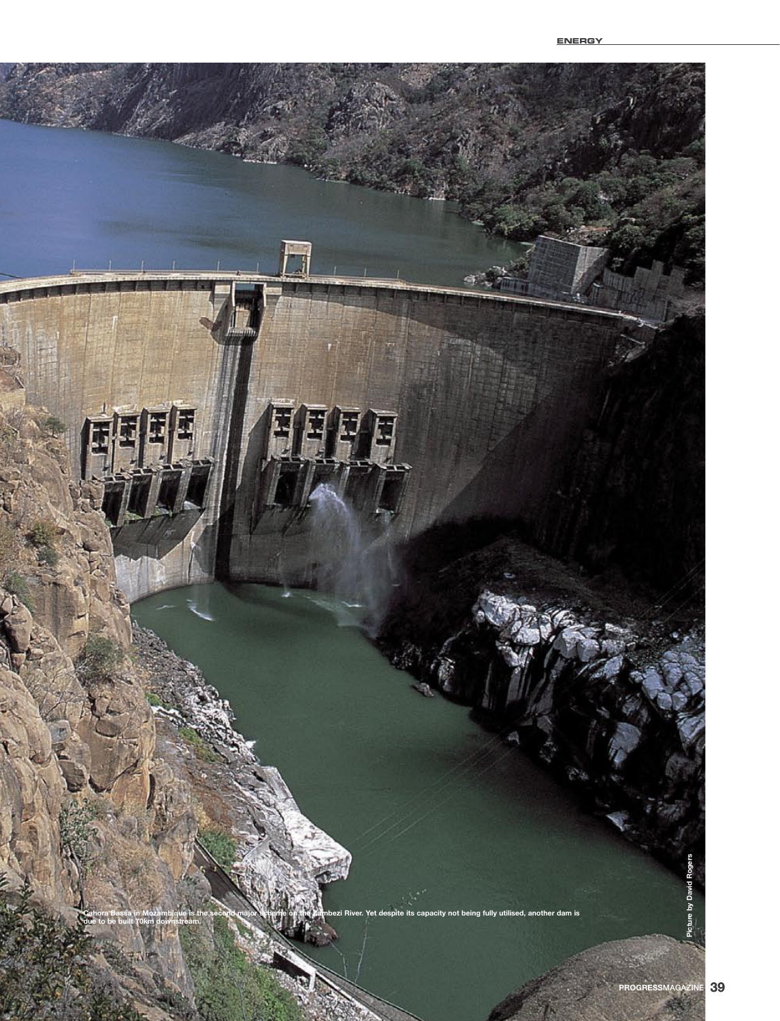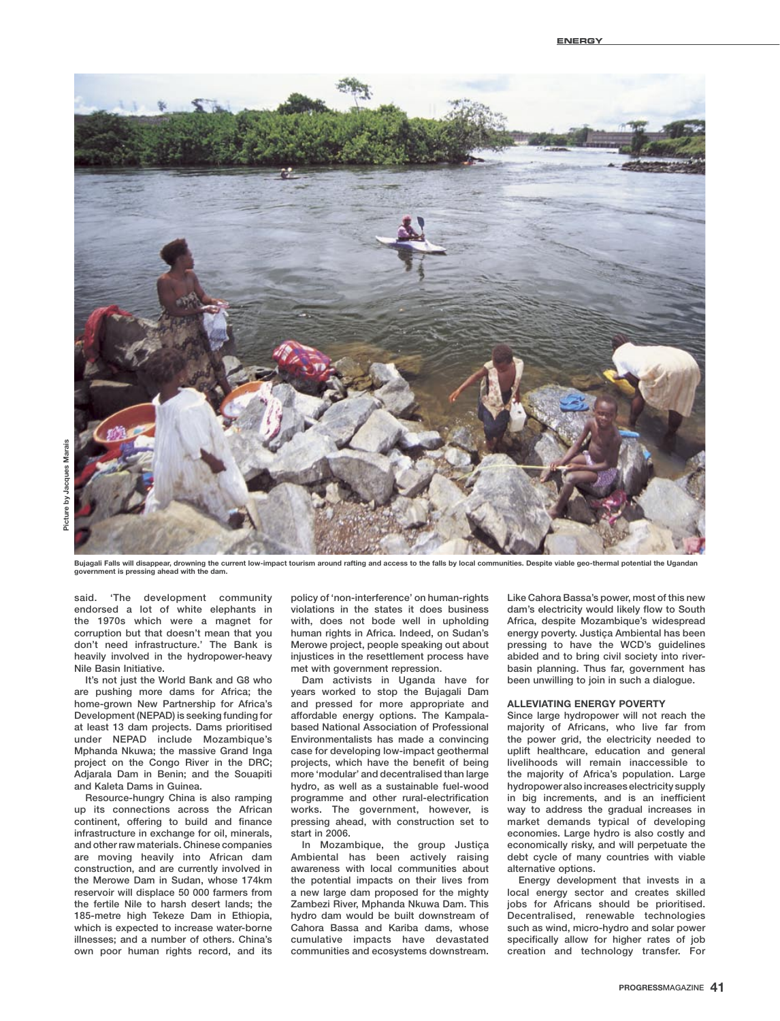

Bujagali Falls will disappear, drowning the current low-impact tourism around rafting and access to the falls by local communities. Despite viable geo-thermal potential the Ugandan government is pressing ahead with the dam.

said. 'The development community endorsed a lot of white elephants in the 1970s which were a magnet for corruption but that doesn't mean that you don't need infrastructure.' The Bank is heavily involved in the hydropower-heavy Nile Basin Initiative.

It's not just the World Bank and G8 who are pushing more dams for Africa; the home-grown New Partnership for Africa's Development (NEPAD) is seeking funding for at least 13 dam projects. Dams prioritised under NEPAD include Mozambique's Mphanda Nkuwa; the massive Grand Inga project on the Congo River in the DRC; Adjarala Dam in Benin; and the Souapiti and Kaleta Dams in Guinea.

Resource-hungry China is also ramping up its connections across the African continent, offering to build and finance infrastructure in exchange for oil, minerals, and other raw materials. Chinese companies are moving heavily into African dam construction, and are currently involved in the Merowe Dam in Sudan, whose 174km reservoir will displace 50 000 farmers from the fertile Nile to harsh desert lands; the 185-metre high Tekeze Dam in Ethiopia, which is expected to increase water-borne illnesses; and a number of others. China's own poor human rights record, and its

policy of 'non-interference' on human-rights violations in the states it does business with, does not bode well in upholding human rights in Africa. Indeed, on Sudan's Merowe project, people speaking out about injustices in the resettlement process have met with government repression.

Dam activists in Uganda have for years worked to stop the Bujagali Dam and pressed for more appropriate and affordable energy options. The Kampalabased National Association of Professional Environmentalists has made a convincing case for developing low-impact geothermal projects, which have the benefit of being more 'modular' and decentralised than large hydro, as well as a sustainable fuel-wood programme and other rural-electrification works. The government, however, is pressing ahead, with construction set to start in 2006.

In Mozambique, the group Justiça Ambiental has been actively raising awareness with local communities about the potential impacts on their lives from a new large dam proposed for the mighty Zambezi River, Mphanda Nkuwa Dam. This hydro dam would be built downstream of Cahora Bassa and Kariba dams, whose cumulative impacts have devastated communities and ecosystems downstream.

Like Cahora Bassa's power, most of this new dam's electricity would likely flow to South Africa, despite Mozambique's widespread energy poverty. Justiça Ambiental has been pressing to have the WCD's guidelines abided and to bring civil society into riverbasin planning. Thus far, government has been unwilling to join in such a dialogue.

### ALLEVIATING ENERGY POVERTY

Since large hydropower will not reach the majority of Africans, who live far from the power grid, the electricity needed to uplift healthcare, education and general livelihoods will remain inaccessible to the majority of Africa's population. Large hydropower also increases electricity supply in big increments, and is an inefficient way to address the gradual increases in market demands typical of developing economies. Large hydro is also costly and economically risky, and will perpetuate the debt cycle of many countries with viable alternative options.

Energy development that invests in a local energy sector and creates skilled jobs for Africans should be prioritised. Decentralised, renewable technologies such as wind, micro-hydro and solar power specifically allow for higher rates of job creation and technology transfer. For